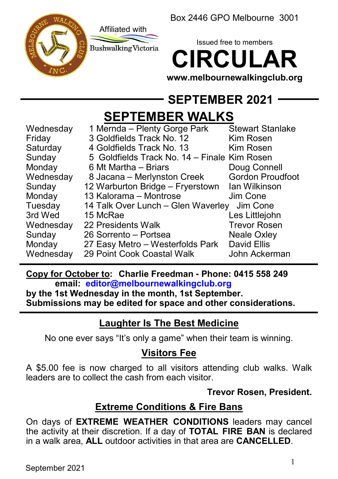Box 2446 GPO Melbourne 3001





Issued free to members **CIRCULAR**

**www.melbournewalkingclub.org**

# **SEPTEMBER 2021**

# **SEPTEMBER WALKS**

| Wednesday | 1 Mernda – Plenty Gorge Park                 | <b>Stewart Stanlake</b> |
|-----------|----------------------------------------------|-------------------------|
| Friday    | 3 Goldfields Track No. 12                    | Kim Rosen               |
| Saturday  | 4 Goldfields Track No. 13                    | Kim Rosen               |
| Sunday    | 5 Goldfields Track No. 14 – Finale Kim Rosen |                         |
| Monday    | 6 Mt Martha – Briars                         | Doug Connell            |
| Wednesday | 8 Jacana – Merlynston Creek                  | <b>Gordon Proudfoot</b> |
| Sunday    | 12 Warburton Bridge - Fryerstown             | lan Wilkinson           |
| Monday    | 13 Kalorama - Montrose                       | Jim Cone                |
| Tuesday   | 14 Talk Over Lunch - Glen Waverley           | Jim Cone                |
| 3rd Wed   | 15 McRae                                     | Les Littlejohn          |
| Wednesday | 22 Presidents Walk                           | <b>Trevor Rosen</b>     |
| Sunday    | 26 Sorrento - Portsea                        | <b>Neale Oxley</b>      |
| Monday    | 27 Easy Metro – Westerfolds Park             | David Ellis             |
| Wednesday | 29 Point Cook Coastal Walk                   | John Ackerman           |
|           |                                              |                         |

#### **Copy for October to: Charlie Freedman - Phone: 0415 558 249 email: editor@melbournewalkingclub.org**

**by the 1st Wednesday in the month, 1st September. Submissions may be edited for space and other considerations.**

# **Laughter Is The Best Medicine**

No one ever says "It's only a game" when their team is winning.

# **Visitors Fee**

A \$5.00 fee is now charged to all visitors attending club walks. Walk leaders are to collect the cash from each visitor.

# **Trevor Rosen, President.**

# **Extreme Conditions & Fire Bans**

On days of **EXTREME WEATHER CONDITIONS** leaders may cancel the activity at their discretion. If a day of **TOTAL FIRE BAN** is declared in a walk area, **ALL** outdoor activities in that area are **CANCELLED**.

September 2021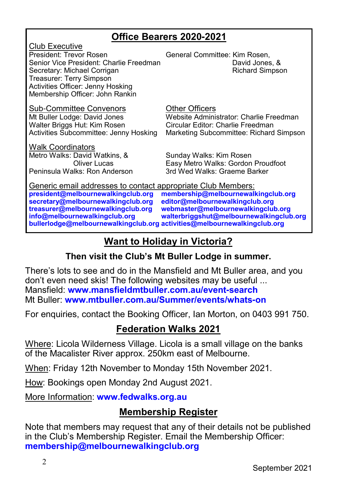# **Office Bearers 2020-2021**

<u>Club Executive</u><br>President: Trevor Rosen Senior Vice President: Charlie Freedman David Jones, & Secretary: Michael Corrigan Treasurer: Terry Simpson Activities Officer: Jenny Hosking Membership Officer: John Rankin

Sub-Committee Convenors 6 Democratic Officers<br>
Mt Buller Lodge: David Jones 6 Website Admini

Walk Coordinators Metro Walks: David Watkins, & Sunday Walks: Kim Rosen Peninsula Walks: Ron Anderson

General Committee: Kim Rosen,

Mt Buller Lodge: David Jones (Website Administrator: Charlie Freedman<br>Walter Briggs Hut: Kim Rosen (Circular Editor: Charlie Freedman Circular Editor: Charlie Freedman Activities Subcommittee: Jenny Hosking Marketing Subcommittee: Richard Simpson

Easy Metro Walks: Gordon Proudfoot<br>3rd Wed Walks: Graeme Barker

Generic email addresses to contact appropriate Club Members:<br>president@melbournewalkingclub.org membership@melbournewal **president@melbournewalkingclub.org membership@melbournewalkingclub.org secretary@melbournewalkingclub.org**<br> **treasurer@melbournewalkingclub.org treasurer@melbournewalkingclub.org webmaster@melbournewalkingclub.org info@melbournewalkingclub.org walterbriggshut@melbournewalkingclub.org bullerlodge@melbournewalkingclub.org activities@melbournewalkingclub.org**

# **Want to Holiday in Victoria?**

# **Then visit the Club's Mt Buller Lodge in summer.**

There's lots to see and do in the Mansfield and Mt Buller area, and you don't even need skis! The following websites may be useful ... Mansfield: **www.mansfieldmtbuller.com.au/event-search** Mt Buller: **www.mtbuller.com.au/Summer/events/whats-on**

For enquiries, contact the Booking Officer, Ian Morton, on 0403 991 750.

# **Federation Walks 2021**

Where: Licola Wilderness Village. Licola is a small village on the banks of the Macalister River approx. 250km east of Melbourne.

When: Friday 12th November to Monday 15th November 2021.

How: Bookings open Monday 2nd August 2021.

More Information: **www.fedwalks.org.au**

# **Membership Register**

Note that members may request that any of their details not be published in the Club's Membership Register. Email the Membership Officer: **membership@melbournewalkingclub.org**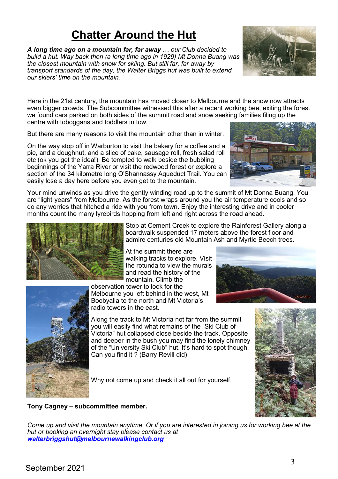# **Chatter Around the Hut**

*A long time ago on a mountain far, far away … our Club decided to build a hut. Way back then (a long time ago in 1929) Mt Donna Buang was the closest mountain with snow for skiing. But still far, far away by transport standards of the day, the Walter Briggs hut was built to extend our skiers' time on the mountain.*

Here in the 21st century, the mountain has moved closer to Melbourne and the snow now attracts even bigger crowds. The Subcommittee witnessed this after a recent working bee, exiting the forest we found cars parked on both sides of the summit road and snow seeking families filing up the centre with toboggans and toddlers in tow.

But there are many reasons to visit the mountain other than in winter.

On the way stop off in Warburton to visit the bakery for a coffee and a pie, and a doughnut, and a slice of cake, sausage roll, fresh salad roll etc (ok you get the idea!). Be tempted to walk beside the bubbling beginnings of the Yarra River or visit the redwood forest or explore a section of the 34 kilometre long O'Shannassy Aqueduct Trail. You can easily lose a day here before you even get to the mountain.

Your mind unwinds as you drive the gently winding road up to the summit of Mt Donna Buang. You are "light-years" from Melbourne. As the forest wraps around you the air temperature cools and so do any worries that hitched a ride with you from town. Enjoy the interesting drive and in cooler months count the many lyrebirds hopping from left and right across the road ahead.



Stop at Cement Creek to explore the Rainforest Gallery along a boardwalk suspended 17 meters above the forest floor and admire centuries old Mountain Ash and Myrtle Beech trees.

At the summit there are walking tracks to explore. Visit the rotunda to view the murals and read the history of the mountain. Climb the

observation tower to look for the Melbourne you left behind in the west, Mt Boobyalla to the north and Mt Victoria's radio towers in the east.

Along the track to Mt Victoria not far from the summit you will easily find what remains of the "Ski Club of Victoria" hut collapsed close beside the track. Opposite and deeper in the bush you may find the lonely chimney of the "University Ski Club" hut. It's hard to spot though. Can you find it ? (Barry Revill did)

Why not come up and check it all out for yourself.



#### **Tony Cagney – subcommittee member.**

*Come up and visit the mountain anytime. Or if you are interested in joining us for working bee at the hut or booking an overnight stay please contact us at walterbriggshut@melbournewalkingclub.org*

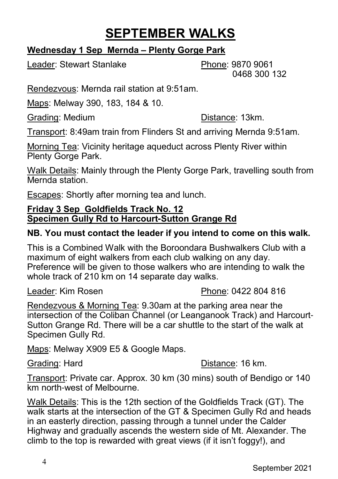# **SEPTEMBER WALKS**

#### **Wednesday 1 Sep Mernda – Plenty Gorge Park**

Leader: Stewart Stanlake **Phone: 9870 9061** 

0468 300 132

Rendezvous: Mernda rail station at 9:51am.

Maps: Melway 390, 183, 184 & 10.

Grading: Medium Distance: 13km.

Transport: 8:49am train from Flinders St and arriving Mernda 9:51am.

Morning Tea: Vicinity heritage aqueduct across Plenty River within Plenty Gorge Park.

Walk Details: Mainly through the Plenty Gorge Park, travelling south from Mernda station.

Escapes: Shortly after morning tea and lunch.

#### **Friday 3 Sep Goldfields Track No. 12 Specimen Gully Rd to Harcourt-Sutton Grange Rd**

# **NB. You must contact the leader if you intend to come on this walk.**

This is a Combined Walk with the Boroondara Bushwalkers Club with a maximum of eight walkers from each club walking on any day. Preference will be given to those walkers who are intending to walk the whole track of 210 km on 14 separate day walks.

Leader: Kim Rosen **Phone: 0422 804 816** 

Rendezvous & Morning Tea: 9.30am at the parking area near the intersection of the Coliban Channel (or Leanganook Track) and Harcourt-Sutton Grange Rd. There will be a car shuttle to the start of the walk at Specimen Gully Rd.

Maps: Melway X909 E5 & Google Maps.

Grading: Hard **Distance: 16 km.** 

Transport: Private car. Approx. 30 km (30 mins) south of Bendigo or 140 km north-west of Melbourne.

Walk Details: This is the 12th section of the Goldfields Track (GT). The walk starts at the intersection of the GT & Specimen Gully Rd and heads in an easterly direction, passing through a tunnel under the Calder Highway and gradually ascends the western side of Mt. Alexander. The climb to the top is rewarded with great views (if it isn't foggy!), and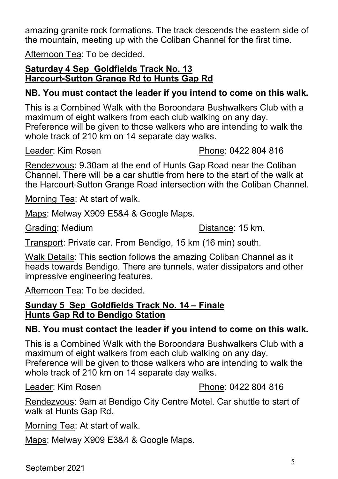amazing granite rock formations. The track descends the eastern side of the mountain, meeting up with the Coliban Channel for the first time.

Afternoon Tea: To be decided.

#### **Saturday 4 Sep Goldfields Track No. 13 Harcourt-Sutton Grange Rd to Hunts Gap Rd**

# **NB. You must contact the leader if you intend to come on this walk.**

This is a Combined Walk with the Boroondara Bushwalkers Club with a maximum of eight walkers from each club walking on any day. Preference will be given to those walkers who are intending to walk the whole track of 210 km on 14 separate day walks.

Leader: Kim Rosen **Phone: 0422 804 816** 

Rendezvous: 9.30am at the end of Hunts Gap Road near the Coliban Channel. There will be a car shuttle from here to the start of the walk at the Harcourt-Sutton Grange Road intersection with the Coliban Channel.

Morning Tea: At start of walk.

Maps: Melway X909 E5&4 & Google Maps.

Grading: Medium **Distance:** 15 km.

Transport: Private car. From Bendigo, 15 km (16 min) south.

Walk Details: This section follows the amazing Coliban Channel as it heads towards Bendigo. There are tunnels, water dissipators and other impressive engineering features.

Afternoon Tea: To be decided.

#### **Sunday 5 Sep Goldfields Track No. 14 – Finale Hunts Gap Rd to Bendigo Station**

# **NB. You must contact the leader if you intend to come on this walk.**

This is a Combined Walk with the Boroondara Bushwalkers Club with a maximum of eight walkers from each club walking on any day. Preference will be given to those walkers who are intending to walk the whole track of 210 km on 14 separate day walks.

#### Leader: Kim Rosen **Phone: 0422 804 816**

Rendezvous: 9am at Bendigo City Centre Motel. Car shuttle to start of walk at Hunts Gap Rd.

Morning Tea: At start of walk.

Maps: Melway X909 E3&4 & Google Maps.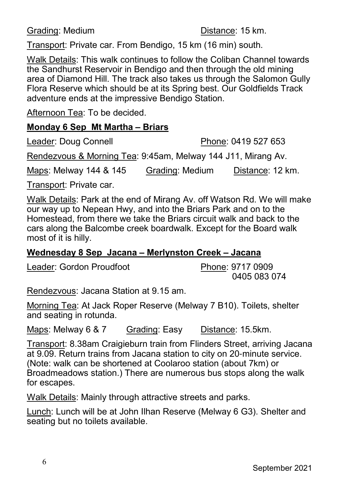Grading: Medium **Distance:** 15 km.

Transport: Private car. From Bendigo, 15 km (16 min) south.

Walk Details: This walk continues to follow the Coliban Channel towards the Sandhurst Reservoir in Bendigo and then through the old mining area of Diamond Hill. The track also takes us through the Salomon Gully Flora Reserve which should be at its Spring best. Our Goldfields Track adventure ends at the impressive Bendigo Station.

Afternoon Tea: To be decided.

#### **Monday 6 Sep Mt Martha – Briars**

Leader: Doug Connell Phone: 0419 527 653

Rendezvous & Morning Tea: 9:45am, Melway 144 J11, Mirang Av.

Maps: Melway 144 & 145 Grading: Medium Distance: 12 km.

Transport: Private car.

Walk Details: Park at the end of Mirang Av. off Watson Rd. We will make our way up to Nepean Hwy, and into the Briars Park and on to the Homestead, from there we take the Briars circuit walk and back to the cars along the Balcombe creek boardwalk. Except for the Board walk most of it is hilly.

# **Wednesday 8 Sep Jacana – Merlynston Creek – Jacana**

Leader: Gordon Proudfoot Phone: 9717 0909

0405 083 074

Rendezvous: Jacana Station at 9.15 am.

Morning Tea: At Jack Roper Reserve (Melway 7 B10). Toilets, shelter and seating in rotunda.

Maps: Melway 6 & 7 Grading: Easy Distance: 15.5km.

Transport: 8.38am Craigieburn train from Flinders Street, arriving Jacana at 9.09. Return trains from Jacana station to city on 20-minute service. (Note: walk can be shortened at Coolaroo station (about 7km) or Broadmeadows station.) There are numerous bus stops along the walk for escapes.

Walk Details: Mainly through attractive streets and parks.

Lunch: Lunch will be at John Ilhan Reserve (Melway 6 G3). Shelter and seating but no toilets available.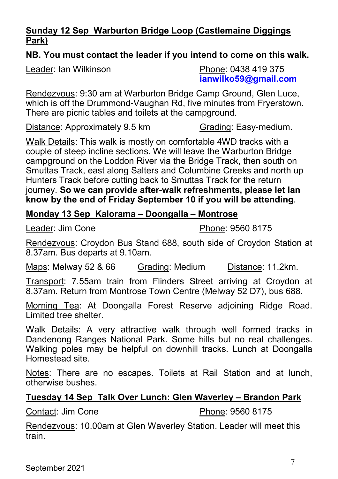#### **Sunday 12 Sep Warburton Bridge Loop (Castlemaine Diggings Park)**

#### **NB. You must contact the leader if you intend to come on this walk.**

Leader: Ian Wilkinson **Phone: 0438 419 375** 

**ianwilko59@gmail.com**

Rendezvous: 9:30 am at Warburton Bridge Camp Ground, Glen Luce, which is off the Drummond-Vaughan Rd, five minutes from Fryerstown. There are picnic tables and toilets at the campground.

Distance: Approximately 9.5 km Grading: Easy-medium.

Walk Details: This walk is mostly on comfortable 4WD tracks with a couple of steep incline sections. We will leave the Warburton Bridge campground on the Loddon River via the Bridge Track, then south on Smuttas Track, east along Salters and Columbine Creeks and north up Hunters Track before cutting back to Smuttas Track for the return journey. **So we can provide after-walk refreshments, please let Ian know by the end of Friday September 10 if you will be attending**.

#### **Monday 13 Sep Kalorama – Doongalla – Montrose**

Leader: Jim Cone **Phone: 9560 8175** 

Rendezvous: Croydon Bus Stand 688, south side of Croydon Station at 8.37am. Bus departs at 9.10am.

Maps: Melway 52 & 66 Grading: Medium Distance: 11.2km.

Transport: 7.55am train from Flinders Street arriving at Croydon at 8.37am. Return from Montrose Town Centre (Melway 52 D7), bus 688.

Morning Tea: At Doongalla Forest Reserve adjoining Ridge Road. Limited tree shelter.

Walk Details: A very attractive walk through well formed tracks in Dandenong Ranges National Park. Some hills but no real challenges. Walking poles may be helpful on downhill tracks. Lunch at Doongalla Homestead site.

Notes: There are no escapes. Toilets at Rail Station and at lunch, otherwise bushes.

#### **Tuesday 14 Sep Talk Over Lunch: Glen Waverley – Brandon Park**

Contact: Jim Cone **Phone: 9560 8175** 

Rendezvous: 10.00am at Glen Waverley Station. Leader will meet this train.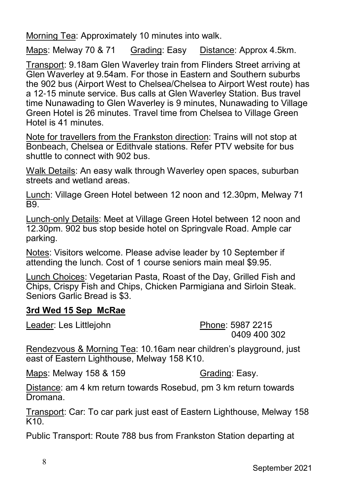Morning Tea: Approximately 10 minutes into walk.

Maps: Melway 70 & 71 Grading: Easy Distance: Approx 4.5km.

Transport: 9.18am Glen Waverley train from Flinders Street arriving at Glen Waverley at 9.54am. For those in Eastern and Southern suburbs the 902 bus (Airport West to Chelsea/Chelsea to Airport West route) has a 12-15 minute service. Bus calls at Glen Waverley Station. Bus travel time Nunawading to Glen Waverley is 9 minutes, Nunawading to Village Green Hotel is 26 minutes. Travel time from Chelsea to Village Green Hotel is 41 minutes.

Note for travellers from the Frankston direction: Trains will not stop at Bonbeach, Chelsea or Edithvale stations. Refer PTV website for bus shuttle to connect with 902 bus.

Walk Details: An easy walk through Waverley open spaces, suburban streets and wetland areas.

Lunch: Village Green Hotel between 12 noon and 12.30pm, Melway 71 **B**9

Lunch-only Details: Meet at Village Green Hotel between 12 noon and 12.30pm. 902 bus stop beside hotel on Springvale Road. Ample car parking.

Notes: Visitors welcome. Please advise leader by 10 September if attending the lunch. Cost of 1 course seniors main meal \$9.95.

Lunch Choices: Vegetarian Pasta, Roast of the Day, Grilled Fish and Chips, Crispy Fish and Chips, Chicken Parmigiana and Sirloin Steak. Seniors Garlic Bread is \$3.

#### **3rd Wed 15 Sep McRae**

Leader: Les Littlejohn Phone: 5987 2215

0409 400 302

Rendezvous & Morning Tea: 10.16am near children's playground, just east of Eastern Lighthouse, Melway 158 K10.

Maps: Melway 158 & 159 Grading: Easy.

Distance: am 4 km return towards Rosebud, pm 3 km return towards Dromana.

Transport: Car: To car park just east of Eastern Lighthouse, Melway 158 K10.

Public Transport: Route 788 bus from Frankston Station departing at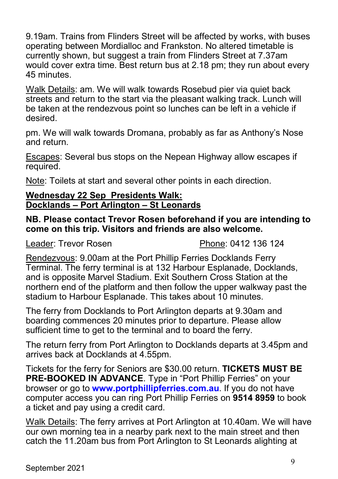9.19am. Trains from Flinders Street will be affected by works, with buses operating between Mordialloc and Frankston. No altered timetable is currently shown, but suggest a train from Flinders Street at 7.37am would cover extra time. Best return bus at 2.18 pm; they run about every 45 minutes.

Walk Details: am. We will walk towards Rosebud pier via quiet back streets and return to the start via the pleasant walking track. Lunch will be taken at the rendezvous point so lunches can be left in a vehicle if desired.

pm. We will walk towards Dromana, probably as far as Anthony's Nose and return.

Escapes: Several bus stops on the Nepean Highway allow escapes if required.

Note: Toilets at start and several other points in each direction.

#### **Wednesday 22 Sep Presidents Walk: Docklands – Port Arlington – St Leonards**

**NB. Please contact Trevor Rosen beforehand if you are intending to come on this trip. Visitors and friends are also welcome.**

Leader: Trevor Rosen **Phone: 0412 136 124** 

Rendezvous: 9.00am at the Port Phillip Ferries Docklands Ferry Terminal. The ferry terminal is at 132 Harbour Esplanade, Docklands, and is opposite Marvel Stadium. Exit Southern Cross Station at the northern end of the platform and then follow the upper walkway past the stadium to Harbour Esplanade. This takes about 10 minutes.

The ferry from Docklands to Port Arlington departs at 9.30am and boarding commences 20 minutes prior to departure. Please allow sufficient time to get to the terminal and to board the ferry.

The return ferry from Port Arlington to Docklands departs at 3.45pm and arrives back at Docklands at 4.55pm.

Tickets for the ferry for Seniors are \$30.00 return. **TICKETS MUST BE PRE-BOOKED IN ADVANCE**. Type in "Port Phillip Ferries" on your browser or go to **www.portphillipferries.com.au**. If you do not have computer access you can ring Port Phillip Ferries on **9514 8959** to book a ticket and pay using a credit card.

Walk Details: The ferry arrives at Port Arlington at 10.40am. We will have our own morning tea in a nearby park next to the main street and then catch the 11.20am bus from Port Arlington to St Leonards alighting at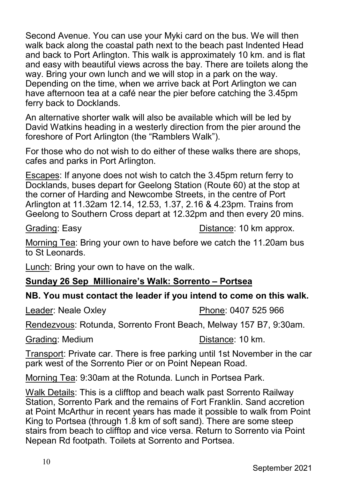Second Avenue. You can use your Myki card on the bus. We will then walk back along the coastal path next to the beach past Indented Head and back to Port Arlington. This walk is approximately 10 km. and is flat and easy with beautiful views across the bay. There are toilets along the way. Bring your own lunch and we will stop in a park on the way. Depending on the time, when we arrive back at Port Arlington we can have afternoon tea at a café near the pier before catching the 3.45pm ferry back to Docklands.

An alternative shorter walk will also be available which will be led by David Watkins heading in a westerly direction from the pier around the foreshore of Port Arlington (the "Ramblers Walk").

For those who do not wish to do either of these walks there are shops, cafes and parks in Port Arlington.

Escapes: If anyone does not wish to catch the 3.45pm return ferry to Docklands, buses depart for Geelong Station (Route 60) at the stop at the corner of Harding and Newcombe Streets, in the centre of Port Arlington at 11.32am 12.14, 12.53, 1.37, 2.16 & 4.23pm. Trains from Geelong to Southern Cross depart at 12.32pm and then every 20 mins.

Grading: Easy **Distance: 10 km approx.** 

Morning Tea: Bring your own to have before we catch the 11.20am bus to St Leonards.

**Lunch: Bring your own to have on the walk.** 

#### **Sunday 26 Sep Millionaire's Walk: Sorrento – Portsea**

#### **NB. You must contact the leader if you intend to come on this walk.**

Leader: Neale Oxley **Phone: 0407 525 966** 

Rendezvous: Rotunda, Sorrento Front Beach, Melway 157 B7, 9:30am.

Grading: Medium **Distance:** 10 km.

Transport: Private car. There is free parking until 1st November in the car park west of the Sorrento Pier or on Point Nepean Road.

Morning Tea: 9:30am at the Rotunda. Lunch in Portsea Park.

Walk Details: This is a clifftop and beach walk past Sorrento Railway Station, Sorrento Park and the remains of Fort Franklin. Sand accretion at Point McArthur in recent years has made it possible to walk from Point King to Portsea (through 1.8 km of soft sand). There are some steep stairs from beach to clifftop and vice versa. Return to Sorrento via Point Nepean Rd footpath. Toilets at Sorrento and Portsea.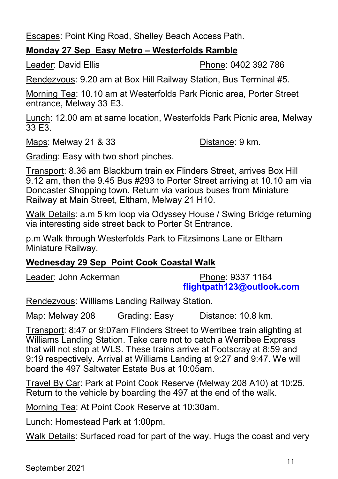Escapes: Point King Road, Shelley Beach Access Path.

### **Monday 27 Sep Easy Metro – Westerfolds Ramble**

Leader: David Ellis Phone: 0402 392 786

Rendezvous: 9.20 am at Box Hill Railway Station, Bus Terminal #5.

Morning Tea: 10.10 am at Westerfolds Park Picnic area, Porter Street entrance, Melway 33 E3.

Lunch: 12.00 am at same location, Westerfolds Park Picnic area, Melway 33 E3.

Maps: Melway 21 & 33 Distance: 9 km.

Grading: Easy with two short pinches.

Transport: 8.36 am Blackburn train ex Flinders Street, arrives Box Hill 9.12 am, then the 9.45 Bus #293 to Porter Street arriving at 10.10 am via Doncaster Shopping town. Return via various buses from Miniature Railway at Main Street, Eltham, Melway 21 H10.

Walk Details: a.m 5 km loop via Odyssey House / Swing Bridge returning via interesting side street back to Porter St Entrance.

p.m Walk through Westerfolds Park to Fitzsimons Lane or Eltham Miniature Railway.

# **Wednesday 29 Sep Point Cook Coastal Walk**

Leader: John Ackerman Phone: 9337 1164

**flightpath123@outlook.com**

Rendezvous: Williams Landing Railway Station.

Map: Melway 208 Grading: Easy Distance: 10.8 km.

Transport: 8:47 or 9:07am Flinders Street to Werribee train alighting at Williams Landing Station. Take care not to catch a Werribee Express that will not stop at WLS. These trains arrive at Footscray at 8:59 and 9:19 respectively. Arrival at Williams Landing at 9:27 and 9:47. We will board the 497 Saltwater Estate Bus at 10:05am.

Travel By Car: Park at Point Cook Reserve (Melway 208 A10) at 10:25. Return to the vehicle by boarding the 497 at the end of the walk.

Morning Tea: At Point Cook Reserve at 10:30am.

Lunch: Homestead Park at 1:00pm.

Walk Details: Surfaced road for part of the way. Hugs the coast and very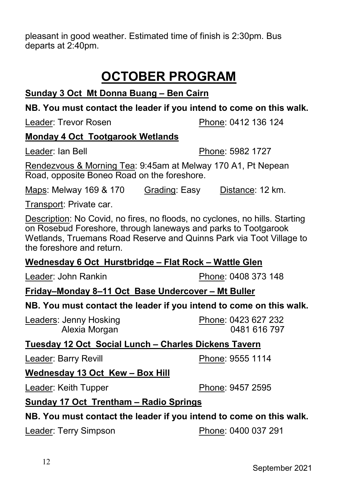pleasant in good weather. Estimated time of finish is 2:30pm. Bus departs at 2:40pm.

# **OCTOBER PROGRAM**

### **Sunday 3 Oct Mt Donna Buang – Ben Cairn**

#### **NB. You must contact the leader if you intend to come on this walk.**

Leader: Trevor Rosen **Phone: 0412 136 124** 

#### **Monday 4 Oct Tootgarook Wetlands**

Leader: Ian Bell **Phone: 5982 1727** 

Rendezvous & Morning Tea: 9:45am at Melway 170 A1, Pt Nepean Road, opposite Boneo Road on the foreshore.

Maps: Melway 169 & 170 Grading: Easy Distance: 12 km.

Transport: Private car.

Description: No Covid, no fires, no floods, no cyclones, no hills. Starting on Rosebud Foreshore, through laneways and parks to Tootgarook Wetlands, Truemans Road Reserve and Quinns Park via Toot Village to the foreshore and return.

#### **Wednesday 6 Oct Hurstbridge – Flat Rock – Wattle Glen**

Leader: John Rankin **Phone: 0408 373 148** 

#### **Friday–Monday 8–11 Oct Base Undercover – Mt Buller**

#### **NB. You must contact the leader if you intend to come on this walk.**

Leaders: Jenny Hosking Phone: 0423 627 232

**Tuesday 12 Oct Social Lunch – Charles Dickens Tavern**

Leader: Barry Revill **Phone: 9555 1114** 

#### **Wednesday 13 Oct Kew – Box Hill**

**Sunday 17 Oct Trentham – Radio Springs**

Leader: Keith Tupper Phone: 9457 2595

# **NB. You must contact the leader if you intend to come on this walk.**

Leader: Terry Simpson Phone: 0400 037 291

12

Alexia Morgan 0481 616 797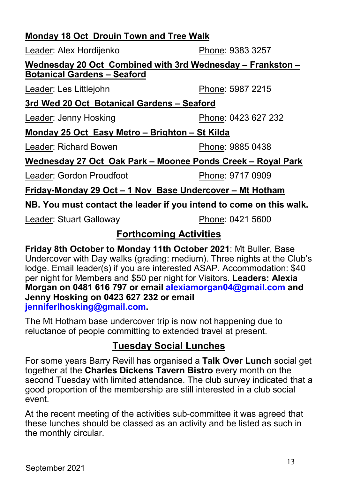### **Monday 18 Oct Drouin Town and Tree Walk**

Leader: Alex Hordijenko Phone: 9383 3257

**Wednesday 20 Oct Combined with 3rd Wednesday – Frankston – Botanical Gardens – Seaford**

Leader: Les Littlejohn Phone: 5987 2215

**3rd Wed 20 Oct Botanical Gardens – Seaford**

Leader: Jenny Hosking **Phone: 0423 627 232** 

# **Monday 25 Oct Easy Metro – Brighton – St Kilda**

Leader: Richard Bowen Phone: 9885 0438

# **Wednesday 27 Oct Oak Park – Moonee Ponds Creek – Royal Park**

Leader: Gordon Proudfoot Phone: 9717 0909

**Friday-Monday 29 Oct – 1 Nov Base Undercover – Mt Hotham**

**NB. You must contact the leader if you intend to come on this walk.**

Leader: Stuart Galloway **Phone: 0421 5600** 

# **Forthcoming Activities**

**Friday 8th October to Monday 11th October 2021**: Mt Buller, Base Undercover with Day walks (grading: medium). Three nights at the Club's lodge. Email leader(s) if you are interested ASAP. Accommodation: \$40 per night for Members and \$50 per night for Visitors. **Leaders: Alexia Morgan on 0481 616 797 or email alexiamorgan04@gmail.com and Jenny Hosking on 0423 627 232 or email jenniferlhosking@gmail.com.**

The Mt Hotham base undercover trip is now not happening due to reluctance of people committing to extended travel at present.

# **Tuesday Social Lunches**

For some years Barry Revill has organised a **Talk Over Lunch** social get together at the **Charles Dickens Tavern Bistro** every month on the second Tuesday with limited attendance. The club survey indicated that a good proportion of the membership are still interested in a club social event.

At the recent meeting of the activities sub-committee it was agreed that these lunches should be classed as an activity and be listed as such in the monthly circular.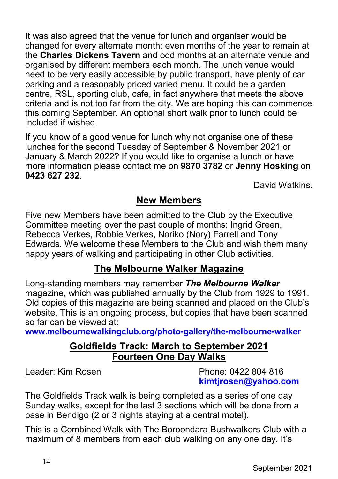It was also agreed that the venue for lunch and organiser would be changed for every alternate month; even months of the year to remain at the **Charles Dickens Tavern** and odd months at an alternate venue and organised by different members each month. The lunch venue would need to be very easily accessible by public transport, have plenty of car parking and a reasonably priced varied menu. It could be a garden centre, RSL, sporting club, cafe, in fact anywhere that meets the above criteria and is not too far from the city. We are hoping this can commence this coming September. An optional short walk prior to lunch could be included if wished.

If you know of a good venue for lunch why not organise one of these lunches for the second Tuesday of September & November 2021 or January & March 2022? If you would like to organise a lunch or have more information please contact me on **9870 3782** or **Jenny Hosking** on **0423 627 232**.

David Watkins.

# **New Members**

Five new Members have been admitted to the Club by the Executive Committee meeting over the past couple of months: Ingrid Green, Rebecca Verkes, Robbie Verkes, Noriko (Nory) Farrell and Tony Edwards. We welcome these Members to the Club and wish them many happy years of walking and participating in other Club activities.

# **The Melbourne Walker Magazine**

Long-standing members may remember *The Melbourne Walker* magazine, which was published annually by the Club from 1929 to 1991. Old copies of this magazine are being scanned and placed on the Club's website. This is an ongoing process, but copies that have been scanned so far can be viewed at:

**www.melbournewalkingclub.org/photo-gallery/the-melbourne-walker**

# **Goldfields Track: March to September 2021 Fourteen One Day Walks**

Leader: Kim Rosen **Phone: 0422 804 816 kimtjrosen@yahoo.com**

The Goldfields Track walk is being completed as a series of one day Sunday walks, except for the last 3 sections which will be done from a base in Bendigo (2 or 3 nights staying at a central motel).

This is a Combined Walk with The Boroondara Bushwalkers Club with a maximum of 8 members from each club walking on any one day. It's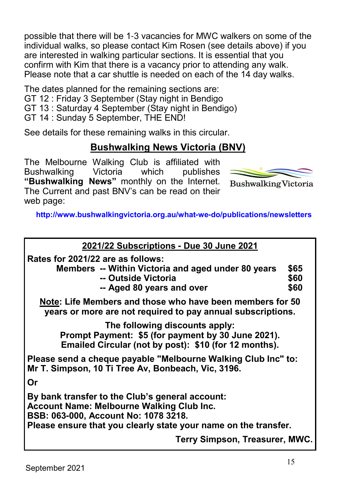possible that there will be 1-3 vacancies for MWC walkers on some of the individual walks, so please contact Kim Rosen (see details above) if you are interested in walking particular sections. It is essential that you confirm with Kim that there is a vacancy prior to attending any walk. Please note that a car shuttle is needed on each of the 14 day walks.

The dates planned for the remaining sections are:

- GT 12 : Friday 3 September (Stay night in Bendigo
- GT 13 : Saturday 4 September (Stay night in Bendigo)
- GT 14 : Sunday 5 September, THE END!

See details for these remaining walks in this circular.

# **Bushwalking News Victoria (BNV)**

The Melbourne Walking Club is affiliated with Bushwalking Victoria which publishes **"Bushwalking News"** monthly on the Internet. The Current and past BNV's can be read on their web page:



**Bushwalking Victoria** 

**http://www.bushwalkingvictoria.org.au/what-we-do/publications/newsletters**

| 2021/22 Subscriptions - Due 30 June 2021                                                                                                                                                                |                      |  |  |
|---------------------------------------------------------------------------------------------------------------------------------------------------------------------------------------------------------|----------------------|--|--|
| Rates for 2021/22 are as follows:<br>Members -- Within Victoria and aged under 80 years<br>-- Outside Victoria<br>-- Aged 80 years and over                                                             | \$65<br>\$60<br>\$60 |  |  |
| Note: Life Members and those who have been members for 50<br>years or more are not required to pay annual subscriptions.                                                                                |                      |  |  |
| The following discounts apply:<br>Prompt Payment: \$5 (for payment by 30 June 2021).<br>Emailed Circular (not by post): \$10 (for 12 months).                                                           |                      |  |  |
| Please send a cheque payable "Melbourne Walking Club Inc" to:<br>Mr T. Simpson, 10 Ti Tree Av, Bonbeach, Vic, 3196.                                                                                     |                      |  |  |
| Or                                                                                                                                                                                                      |                      |  |  |
| By bank transfer to the Club's general account:<br>Account Name: Melbourne Walking Club Inc.<br>BSB: 063-000, Account No: 1078 3218.<br>Please ensure that you clearly state your name on the transfer. |                      |  |  |
| Terry Simpson, Treasurer, MWC.                                                                                                                                                                          |                      |  |  |